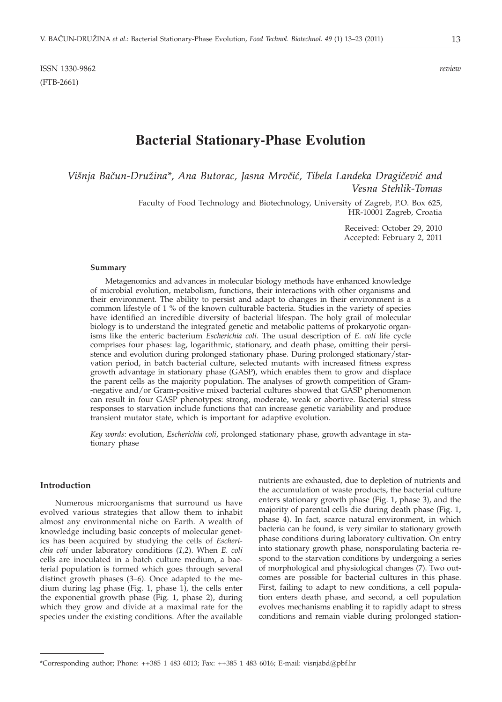# **Bacterial Stationary-Phase Evolution**

*Višnja Bačun-Družina\*, Ana Butorac, Jasna Mrvčić, Tibela Landeka Dragičević and Vesna Stehlik-Tomas*

> Faculty of Food Technology and Biotechnology, University of Zagreb, P.O. Box 625, HR-10001 Zagreb, Croatia

> > Received: October 29, 2010 Accepted: February 2, 2011

#### **Summary**

Metagenomics and advances in molecular biology methods have enhanced knowledge of microbial evolution, metabolism, functions, their interactions with other organisms and their environment. The ability to persist and adapt to changes in their environment is a common lifestyle of 1 % of the known culturable bacteria. Studies in the variety of species have identified an incredible diversity of bacterial lifespan. The holy grail of molecular biology is to understand the integrated genetic and metabolic patterns of prokaryotic organisms like the enteric bacterium *Escherichia coli*. The usual description of *E. coli* life cycle comprises four phases: lag, logarithmic, stationary, and death phase, omitting their persistence and evolution during prolonged stationary phase. During prolonged stationary/starvation period, in batch bacterial culture, selected mutants with increased fitness express growth advantage in stationary phase (GASP), which enables them to grow and displace the parent cells as the majority population. The analyses of growth competition of Gram- -negative and/or Gram-positive mixed bacterial cultures showed that GASP phenomenon can result in four GASP phenotypes: strong, moderate, weak or abortive. Bacterial stress responses to starvation include functions that can increase genetic variability and produce transient mutator state, which is important for adaptive evolution.

*Key words*: evolution, *Escherichia coli*, prolonged stationary phase, growth advantage in stationary phase

# **Introduction**

Numerous microorganisms that surround us have evolved various strategies that allow them to inhabit almost any environmental niche on Earth. A wealth of knowledge including basic concepts of molecular genetics has been acquired by studying the cells of *Escherichia coli* under laboratory conditions (*1,2*). When *E. coli* cells are inoculated in a batch culture medium, a bacterial population is formed which goes through several distinct growth phases (*3–6*). Once adapted to the medium during lag phase (Fig. 1, phase 1), the cells enter the exponential growth phase (Fig. 1, phase 2), during which they grow and divide at a maximal rate for the species under the existing conditions. After the available nutrients are exhausted, due to depletion of nutrients and the accumulation of waste products, the bacterial culture enters stationary growth phase (Fig. 1, phase 3), and the majority of parental cells die during death phase (Fig. 1, phase 4). In fact, scarce natural environment, in which bacteria can be found, is very similar to stationary growth phase conditions during laboratory cultivation. On entry into stationary growth phase, nonsporulating bacteria respond to the starvation conditions by undergoing a series of morphological and physiological changes (7). Two outcomes are possible for bacterial cultures in this phase. First, failing to adapt to new conditions, a cell population enters death phase, and second, a cell population evolves mechanisms enabling it to rapidly adapt to stress conditions and remain viable during prolonged station-

<sup>\*</sup>Corresponding author; Phone: ++385 1 483 6013; Fax: ++385 1 483 6016; E-mail: visnjabd@pbf.hr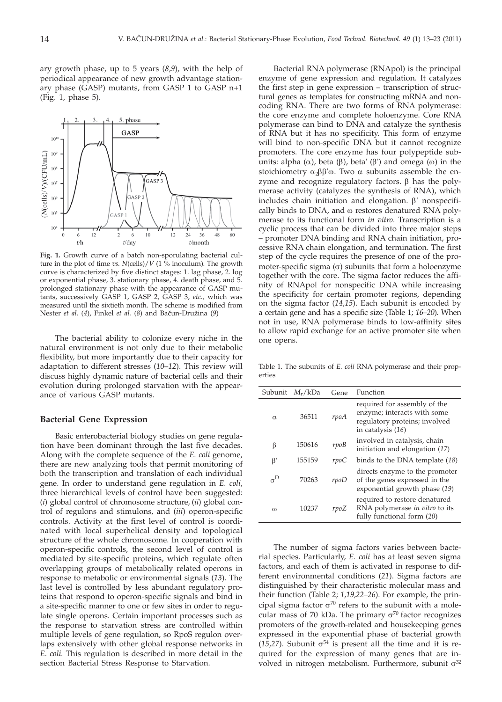ary growth phase, up to 5 years (*8*,*9*), with the help of periodical appearance of new growth advantage stationary phase (GASP) mutants, from GASP 1 to GASP n+1 (Fig. 1, phase 5).



**Fig. 1.** Growth curve of a batch non-sporulating bacterial culture in the plot of time *vs. N*(cells)/*V* (1 % inoculum). The growth curve is characterized by five distinct stages: 1. lag phase, 2. log or exponential phase, 3. stationary phase, 4. death phase, and 5. prolonged stationary phase with the appearance of GASP mutants, successively GASP 1, GASP 2, GASP 3, *etc.,* which was measured until the sixtieth month. The scheme is modified from Nester *et al.* (4), Finkel *et al.* (8) and Bačun-Družina (9)

The bacterial ability to colonize every niche in the natural environment is not only due to their metabolic flexibility, but more importantly due to their capacity for adaptation to different stresses (*10*–*12*). This review will discuss highly dynamic nature of bacterial cells and their evolution during prolonged starvation with the appearance of various GASP mutants.

### **Bacterial Gene Expression**

Basic enterobacterial biology studies on gene regulation have been dominant through the last five decades. Along with the complete sequence of the *E. coli* genome, there are new analyzing tools that permit monitoring of both the transcription and translation of each individual gene. In order to understand gene regulation in *E. coli*, three hierarchical levels of control have been suggested: (*i*) global control of chromosome structure, (*ii*) global control of regulons and stimulons, and (*iii*) operon-specific controls. Activity at the first level of control is coordinated with local superhelical density and topological structure of the whole chromosome. In cooperation with operon-specific controls, the second level of control is mediated by site-specific proteins, which regulate often overlapping groups of metabolically related operons in response to metabolic or environmental signals (*13*). The last level is controlled by less abundant regulatory proteins that respond to operon-specific signals and bind in a site-specific manner to one or few sites in order to regulate single operons. Certain important processes such as the response to starvation stress are controlled within multiple levels of gene regulation, so RpoS regulon overlaps extensively with other global response networks in *E. coli*. This regulation is described in more detail in the section Bacterial Stress Response to Starvation.

Bacterial RNA polymerase (RNApol) is the principal enzyme of gene expression and regulation. It catalyzes the first step in gene expression – transcription of structural genes as templates for constructing mRNA and noncoding RNA. There are two forms of RNA polymerase: the core enzyme and complete holoenzyme. Core RNA polymerase can bind to DNA and catalyze the synthesis of RNA but it has no specificity. This form of enzyme will bind to non-specific DNA but it cannot recognize promoters. The core enzyme has four polypeptide subunits: alpha  $(\alpha)$ , beta  $(\beta)$ , beta'  $(\beta')$  and omega  $(\omega)$  in the stoichiometry  $\alpha_2\beta\beta\omega$ . Two  $\alpha$  subunits assemble the enzyme and recognize regulatory factors.  $\beta$  has the polymerase activity (catalyzes the synthesis of RNA), which includes chain initiation and elongation.  $\beta'$  nonspecifically binds to DNA, and  $\omega$  restores denatured RNA polymerase to its functional form *in vitro*. Transcription is a cyclic process that can be divided into three major steps – promoter DNA binding and RNA chain initiation, processive RNA chain elongation, and termination. The first step of the cycle requires the presence of one of the promoter-specific sigma  $(\sigma)$  subunits that form a holoenzyme together with the core. The sigma factor reduces the affinity of RNApol for nonspecific DNA while increasing the specificity for certain promoter regions, depending on the sigma factor (*14*,*15*). Each subunit is encoded by a certain gene and has a specific size (Table 1; *16–20*). When not in use, RNA polymerase binds to low-affinity sites to allow rapid exchange for an active promoter site when one opens.

Table 1. The subunits of *E. coli* RNA polymerase and their properties

| Subunit          | $M_r/kDa$ | Gene            | Function                                                                                                            |
|------------------|-----------|-----------------|---------------------------------------------------------------------------------------------------------------------|
| $\alpha$         | 36511     | rpoA            | required for assembly of the<br>enzyme; interacts with some<br>regulatory proteins; involved<br>in catalysis $(16)$ |
| β                | 150616    | rpoB            | involved in catalysis, chain<br>initiation and elongation (17)                                                      |
| β'               | 155159    | $\mathit{rpoC}$ | binds to the DNA template (18)                                                                                      |
| $\sigma^{\rm D}$ | 70263     | rpoD            | directs enzyme to the promoter<br>of the genes expressed in the<br>exponential growth phase (19)                    |
| $\omega$         | 10237     | rpoZ            | required to restore denatured<br>RNA polymerase in vitro to its<br>fully functional form (20)                       |

The number of sigma factors varies between bacterial species. Particularly, *E. coli* has at least seven sigma factors, and each of them is activated in response to different environmental conditions (*21*). Sigma factors are distinguished by their characteristic molecular mass and their function (Table 2; *1,19,22–26*). For example, the principal sigma factor  $\sigma^{70}$  refers to the subunit with a molecular mass of 70 kDa. The primary  $\sigma^{70}$  factor recognizes promoters of the growth-related and housekeeping genes expressed in the exponential phase of bacterial growth (15,27). Subunit  $\sigma^{54}$  is present all the time and it is required for the expression of many genes that are involved in nitrogen metabolism. Furthermore, subunit  $\sigma^{32}$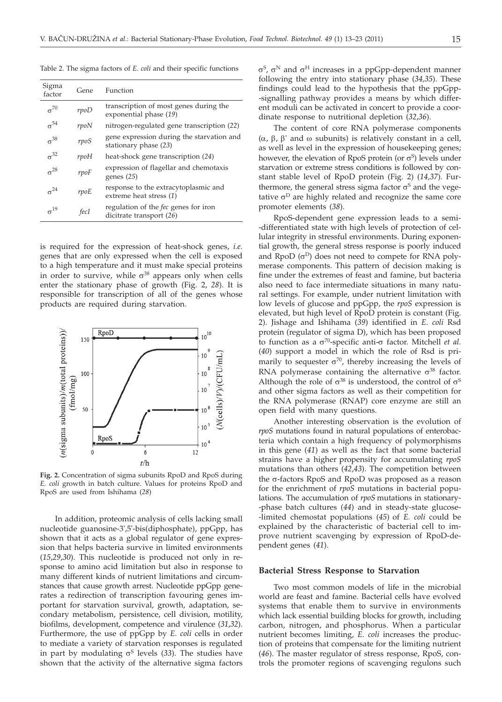| Sigma<br>factor | Gene | Function                                                                |
|-----------------|------|-------------------------------------------------------------------------|
| $\sigma^{70}$   | rpoD | transcription of most genes during the<br>exponential phase (19)        |
| $\sigma^{54}$   | rpoN | nitrogen-regulated gene transcription (22)                              |
| $\sigma^{38}$   | rpoS | gene expression during the starvation and<br>stationary phase (23)      |
| $\sigma^{32}$   | rpoH | heat-shock gene transcription (24)                                      |
| $\sigma^{28}$   | rpoF | expression of flagellar and chemotaxis<br>genes $(25)$                  |
| $\sigma^{24}$   | rpoE | response to the extracytoplasmic and<br>extreme heat stress (1)         |
| $\sigma^{19}$   | fecI | regulation of the <i>fec</i> genes for iron<br>dicitrate transport (26) |
|                 |      |                                                                         |

Table 2. The sigma factors of *E. coli* and their specific functions

is required for the expression of heat-shock genes, *i.e.* genes that are only expressed when the cell is exposed to a high temperature and it must make special proteins in order to survive, while  $\sigma^{38}$  appears only when cells enter the stationary phase of growth (Fig. 2, *28*). It is responsible for transcription of all of the genes whose products are required during starvation.



**Fig. 2.** Concentration of sigma subunits RpoD and RpoS during *E. coli* growth in batch culture. Values for proteins RpoD and RpoS are used from Ishihama (*28*)

In addition, proteomic analysis of cells lacking small nucleotide guanosine-3',5'-bis(diphosphate), ppGpp, has shown that it acts as a global regulator of gene expression that helps bacteria survive in limited environments (*15*,*29*,*30*). This nucleotide is produced not only in response to amino acid limitation but also in response to many different kinds of nutrient limitations and circumstances that cause growth arrest. Nucleotide ppGpp generates a redirection of transcription favouring genes important for starvation survival, growth, adaptation, secondary metabolism, persistence, cell division, motility, biofilms, development, competence and virulence (*31*,*32*). Furthermore, the use of ppGpp by *E. coli* cells in order to mediate a variety of starvation responses is regulated in part by modulating  $\sigma$ <sup>S</sup> levels (33). The studies have shown that the activity of the alternative sigma factors  $\sigma^S$ ,  $\sigma^N$  and  $\sigma^H$  increases in a ppGpp-dependent manner following the entry into stationary phase (*34,35*). These findings could lead to the hypothesis that the ppGpp- -signalling pathway provides a means by which different moduli can be activated in concert to provide a coordinate response to nutritional depletion (*32*,*36*).

The content of core RNA polymerase components  $(\alpha, \beta, \beta)$ ' and  $\omega$  subunits) is relatively constant in a cell, as well as level in the expression of housekeeping genes; however, the elevation of RpoS protein (or  $\sigma$ <sup>S</sup>) levels under starvation or extreme stress conditions is followed by constant stable level of RpoD protein (Fig. 2) (*14,37*). Furthermore, the general stress sigma factor  $\sigma$ <sup>S</sup> and the vegetative  $\sigma^D$  are highly related and recognize the same core promoter elements (*38*).

RpoS-dependent gene expression leads to a semi- -differentiated state with high levels of protection of cellular integrity in stressful environments. During exponential growth, the general stress response is poorly induced and RpoD  $(\sigma^D)$  does not need to compete for RNA polymerase components. This pattern of decision making is fine under the extremes of feast and famine, but bacteria also need to face intermediate situations in many natural settings. For example, under nutrient limitation with low levels of glucose and ppGpp, the *rpoS* expression is elevated, but high level of RpoD protein is constant (Fig. 2). Jishage and Ishihama (*39*) identified in *E. coli* Rsd protein (regulator of sigma D), which has been proposed to function as a  $\sigma^{70}$ -specific anti- $\sigma$  factor. Mitchell *et al.* (*40*) support a model in which the role of Rsd is primarily to sequester  $\sigma^{70}$ , thereby increasing the levels of RNA polymerase containing the alternative  $\sigma^{38}$  factor. Although the role of  $\sigma^{38}$  is understood, the control of  $\sigma^{S}$ and other sigma factors as well as their competition for the RNA polymerase (RNAP) core enzyme are still an open field with many questions.

Another interesting observation is the evolution of *rpoS* mutations found in natural populations of enterobacteria which contain a high frequency of polymorphisms in this gene (*41*) as well as the fact that some bacterial strains have a higher propensity for accumulating *rpoS* mutations than others (*42*,*43*). The competition between the  $\sigma$ -factors RpoS and RpoD was proposed as a reason for the enrichment of *rpoS* mutations in bacterial populations. The accumulation of *rpoS* mutations in stationary- -phase batch cultures (*44*) and in steady-state glucose- -limited chemostat populations (*45*) of *E. coli* could be explained by the characteristic of bacterial cell to improve nutrient scavenging by expression of RpoD-dependent genes (*41*).

#### **Bacterial Stress Response to Starvation**

Two most common models of life in the microbial world are feast and famine. Bacterial cells have evolved systems that enable them to survive in environments which lack essential building blocks for growth, including carbon, nitrogen, and phosphorus. When a particular nutrient becomes limiting, *E. coli* increases the production of proteins that compensate for the limiting nutrient (*46*). The master regulator of stress response, RpoS, controls the promoter regions of scavenging regulons such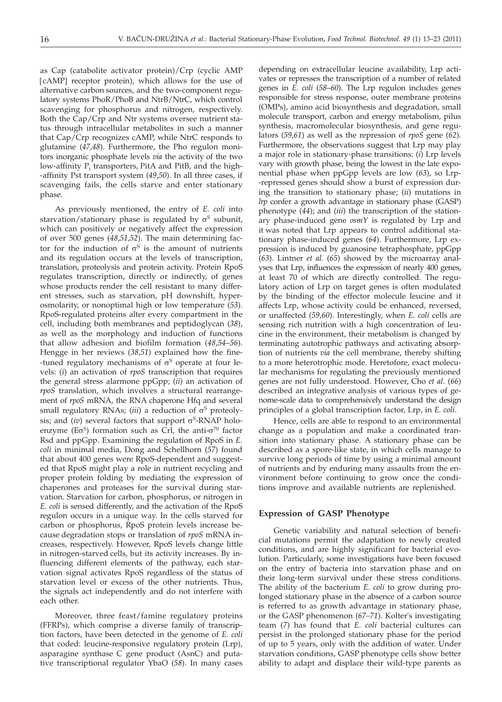as Cap (catabolite activator protein)/Crp (cyclic AMP [cAMP] receptor protein), which allows for the use of alternative carbon sources, and the two-component regulatory systems PhoR/PhoB and NtrB/NtrC, which control scavenging for phosphorus and nitrogen, respectively. Both the Cap/Crp and Ntr systems oversee nutrient status through intracellular metabolites in such a manner that Cap/Crp recognizes cAMP, while NtrC responds to glutamine (*47*,*48*). Furthermore, the Pho regulon monitors inorganic phosphate levels *via* the activity of the two low-affinity P<sub>i</sub> transporters, PitA and PitB, and the high--affinity Pst transport system (*49*,*50*). In all three cases, if scavenging fails, the cells starve and enter stationary phase.

As previously mentioned, the entry of *E. coli* into starvation/stationary phase is regulated by  $\sigma$ <sup>S</sup> subunit, which can positively or negatively affect the expression of over 500 genes (*48*,*51*,*52*). The main determining factor for the induction of  $\sigma$ <sup>S</sup> is the amount of nutrients and its regulation occurs at the levels of transcription, translation, proteolysis and protein activity. Protein RpoS regulates transcription, directly or indirectly, of genes whose products render the cell resistant to many different stresses, such as starvation, pH downshift, hyperosmolarity, or nonoptimal high or low temperature (*53*). RpoS-regulated proteins alter every compartment in the cell, including both membranes and peptidoglycan (*38*), as well as the morphology and induction of functions that allow adhesion and biofilm formation (*48*,*54*–*56*). Hengge in her reviews (*38*,*51*) explained how the fine- -tuned regulatory mechanisms of  $\sigma$ <sup>S</sup> operate at four levels: (*i*) an activation of *rpoS* transcription that requires the general stress alarmone ppGpp; (*ii*) an activation of *rpoS* translation, which involves a structural rearrangement of *rpoS* mRNA, the RNA chaperone Hfq and several small regulatory RNAs; (*iii*) a reduction of  $\sigma$ <sup>S</sup> proteolysis; and *(iv)* several factors that support  $\sigma$ <sup>S</sup>-RNAP holoenzyme ( $E\sigma$ <sup>S</sup>) formation such as Crl, the anti- $\sigma$ <sup>70</sup> factor Rsd and ppGpp. Examining the regulation of RpoS in *E. coli* in minimal media, Dong and Schellhorn (*57*) found that about 400 genes were RpoS-dependent and suggested that RpoS might play a role in nutrient recycling and proper protein folding by mediating the expression of chaperones and proteases for the survival during starvation. Starvation for carbon, phosphorus, or nitrogen in *E. coli* is sensed differently, and the activation of the RpoS regulon occurs in a unique way. In the cells starved for carbon or phosphorus, RpoS protein levels increase because degradation stops or translation of *rpoS* mRNA increases, respectively. However, RpoS levels change little in nitrogen-starved cells, but its activity increases. By influencing different elements of the pathway, each starvation signal activates RpoS regardless of the status of starvation level or excess of the other nutrients. Thus, the signals act independently and do not interfere with each other.

Moreover, three feast/famine regulatory proteins (FFRPs), which comprise a diverse family of transcription factors, have been detected in the genome of *E. coli* that coded: leucine-responsive regulatory protein (Lrp), asparagine synthase C gene product (AsnC) and putative transcriptional regulator YbaO (*58*). In many cases

depending on extracellular leucine availability, Lrp activates or represses the transcription of a number of related genes in *E. coli* (*58*–*60*). The Lrp regulon includes genes responsible for stress response, outer membrane proteins (OMPs), amino acid biosynthesis and degradation, small molecule transport, carbon and energy metabolism, pilus synthesis, macromolecular biosynthesis, and gene regulators (*59*,*61*) as well as the repression of *rpoS* gene (*62*). Furthermore, the observations suggest that Lrp may play a major role in stationary-phase transitions: (*i*) Lrp levels vary with growth phase, being the lowest in the late exponential phase when ppGpp levels are low (*63*), so Lrp- -repressed genes should show a burst of expression during the transition to stationary phase; (*ii*) mutations in *lrp* confer a growth advantage in stationary phase (GASP) phenotype (*44*); and (*iii*) the transcription of the stationary phase-induced gene *osmY* is regulated by Lrp and it was noted that Lrp appears to control additional stationary phase-induced genes (*64*). Furthermore, Lrp expression is induced by guanosine tetraphosphate, ppGpp (*63*). Lintner *et al.* (*65*) showed by the microarray analyses that Lrp, influences the expression of nearly 400 genes, at least 70 of which are directly controlled. The regulatory action of Lrp on target genes is often modulated by the binding of the effector molecule leucine and it affects Lrp, whose activity could be enhanced, reversed, or unaffected (*59,60*). Interestingly, when *E. coli* cells are sensing rich nutrition with a high concentration of leucine in the environment, their metabolism is changed by terminating autotrophic pathways and activating absorption of nutrients *via* the cell membrane, thereby shifting to a more heterotrophic mode. Heretofore, exact molecular mechanisms for regulating the previously mentioned genes are not fully understood. However, Cho *et al*. (*66*) described an integrative analysis of various types of genome-scale data to comprehensively understand the design principles of a global transcription factor, Lrp, in *E. coli*.

Hence, cells are able to respond to an environmental change as a population and make a coordinated transition into stationary phase. A stationary phase can be described as a spore-like state, in which cells manage to survive long periods of time by using a minimal amount of nutrients and by enduring many assaults from the environment before continuing to grow once the conditions improve and available nutrients are replenished.

## **Expression of GASP Phenotype**

Genetic variability and natural selection of beneficial mutations permit the adaptation to newly created conditions, and are highly significant for bacterial evolution. Particularly, some investigations have been focused on the entry of bacteria into starvation phase and on their long-term survival under these stress conditions. The ability of the bacterium *E. coli* to grow during prolonged stationary phase in the absence of a carbon source is referred to as growth advantage in stationary phase, or the GASP phenomenon (*67–71*). Kolter's investigating team (*7*) has found that *E. coli* bacterial cultures can persist in the prolonged stationary phase for the period of up to 5 years, only with the addition of water. Under starvation conditions, GASP phenotype cells show better ability to adapt and displace their wild-type parents as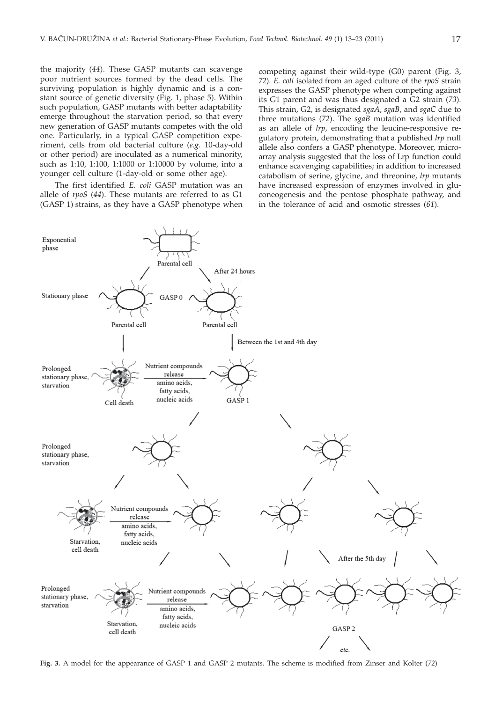the majority (*44*). These GASP mutants can scavenge poor nutrient sources formed by the dead cells. The surviving population is highly dynamic and is a constant source of genetic diversity (Fig. 1, phase 5). Within such population, GASP mutants with better adaptability emerge throughout the starvation period, so that every new generation of GASP mutants competes with the old one. Particularly, in a typical GASP competition experiment, cells from old bacterial culture (*e.g*. 10-day-old or other period) are inoculated as a numerical minority, such as 1:10, 1:100, 1:1000 or 1:10000 by volume, into a younger cell culture (1-day-old or some other age).

The first identified *E. coli* GASP mutation was an allele of *rpoS* (*44*). These mutants are referred to as G1 (GASP 1) strains, as they have a GASP phenotype when

competing against their wild-type (G0) parent (Fig. 3, *72*). *E. coli* isolated from an aged culture of the *rpoS* strain expresses the GASP phenotype when competing against its G1 parent and was thus designated a G2 strain (*73*). This strain, G2, is designated *sgaA*, *sgaB*, and *sgaC* due to three mutations (*72*). The *sgaB* mutation was identified as an allele of *lrp*, encoding the leucine-responsive regulatory protein, demonstrating that a published *lrp* null allele also confers a GASP phenotype. Moreover, microarray analysis suggested that the loss of Lrp function could enhance scavenging capabilities; in addition to increased catabolism of serine, glycine, and threonine, *lrp* mutants have increased expression of enzymes involved in gluconeogenesis and the pentose phosphate pathway, and in the tolerance of acid and osmotic stresses (*61*).



**Fig. 3.** A model for the appearance of GASP 1 and GASP 2 mutants. The scheme is modified from Zinser and Kolter (*72*)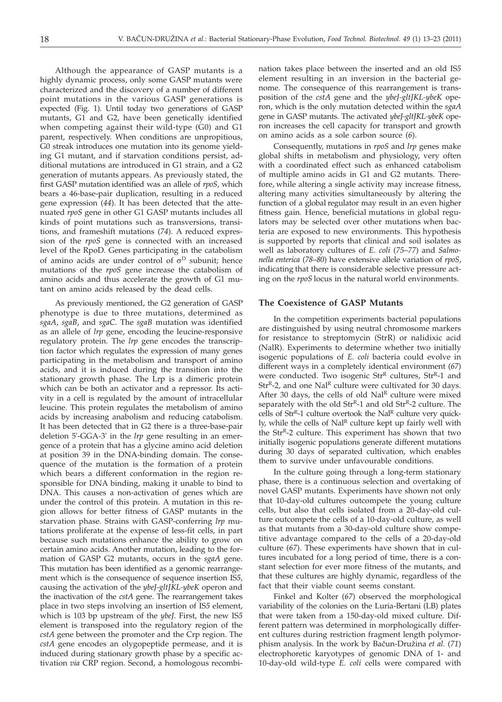Although the appearance of GASP mutants is a highly dynamic process, only some GASP mutants were characterized and the discovery of a number of different point mutations in the various GASP generations is expected (Fig. 1). Until today two generations of GASP mutants, G1 and G2, have been genetically identified when competing against their wild-type (G0) and G1 parent, respectively. When conditions are unpropitious, G0 streak introduces one mutation into its genome yielding G1 mutant, and if starvation conditions persist, additional mutations are introduced in G1 strain, and a G2 generation of mutants appears. As previously stated, the first GASP mutation identified was an allele of *rpoS*, which bears a 46-base-pair duplication, resulting in a reduced gene expression (*44*). It has been detected that the attenuated *rpoS* gene in other G1 GASP mutants includes all kinds of point mutations such as transversions, transitions, and frameshift mutations (*74*). A reduced expression of the *rpoS* gene is connected with an increased level of the RpoD. Genes participating in the catabolism of amino acids are under control of  $\sigma^D$  subunit; hence mutations of the *rpoS* gene increase the catabolism of amino acids and thus accelerate the growth of G1 mutant on amino acids released by the dead cells.

As previously mentioned, the G2 generation of GASP phenotype is due to three mutations, determined as *sgaA*, *sgaB*, and *sgaC*. The *sgaB* mutation was identified as an allele of *lrp* gene, encoding the leucine-responsive regulatory protein. The *lrp* gene encodes the transcription factor which regulates the expression of many genes participating in the metabolism and transport of amino acids, and it is induced during the transition into the stationary growth phase. The Lrp is a dimeric protein which can be both an activator and a repressor. Its activity in a cell is regulated by the amount of intracellular leucine. This protein regulates the metabolism of amino acids by increasing anabolism and reducing catabolism. It has been detected that in G2 there is a three-base-pair deletion 5'-GGA-3' in the *lrp* gene resulting in an emergence of a protein that has a glycine amino acid deletion at position 39 in the DNA-binding domain. The consequence of the mutation is the formation of a protein which bears a different conformation in the region responsible for DNA binding, making it unable to bind to DNA. This causes a non-activation of genes which are under the control of this protein. A mutation in this region allows for better fitness of GASP mutants in the starvation phase. Strains with GASP-conferring *lrp* mutations proliferate at the expense of less-fit cells, in part because such mutations enhance the ability to grow on certain amino acids. Another mutation, leading to the formation of GASP G2 mutants, occurs in the *sgaA* gene. This mutation has been identified as a genomic rearrangement which is the consequence of sequence insertion IS*5*, causing the activation of the *ybeJ-gltJKL-ybeK* operon and the inactivation of the *cstA* gene. The rearrangement takes place in two steps involving an insertion of IS*5* element, which is 103 bp upstream of the *ybeJ*. First, the new IS*5* element is transposed into the regulatory region of the *cstA* gene between the promoter and the Crp region. The *cstA* gene encodes an olygopeptide permease, and it is induced during stationary growth phase by a specific activation *via* CRP region. Second, a homologous recombination takes place between the inserted and an old IS*5* element resulting in an inversion in the bacterial genome. The consequence of this rearrangement is transposition of the *cstA* gene and the *ybeJ-gltJKL-ybeK* operon, which is the only mutation detected within the *sgaA* gene in GASP mutants. The activated *ybeJ-gltJKL-ybeK* operon increases the cell capacity for transport and growth on amino acids as a sole carbon source (*6*).

Consequently, mutations in *rpoS* and *lrp* genes make global shifts in metabolism and physiology, very often with a coordinated effect such as enhanced catabolism of multiple amino acids in G1 and G2 mutants. Therefore, while altering a single activity may increase fitness, altering many activities simultaneously by altering the function of a global regulator may result in an even higher fitness gain. Hence, beneficial mutations in global regulators may be selected over other mutations when bacteria are exposed to new environments. This hypothesis is supported by reports that clinical and soil isolates as well as laboratory cultures of *E. coli* (*75*–*77*) and *Salmonella enterica* (*78*–*80*) have extensive allele variation of *rpoS*, indicating that there is considerable selective pressure acting on the *rpoS* locus in the natural world environments.

# **The Coexistence of GASP Mutants**

In the competition experiments bacterial populations are distinguished by using neutral chromosome markers for resistance to streptomycin (StrR) or nalidixic acid (NalR). Experiments to determine whether two initially isogenic populations of *E. coli* bacteria could evolve in different ways in a completely identical environment (*67*) were conducted. Two isogenic  $Str^R$  cultures,  $Str^R$ -1 and  $Str<sup>R</sup>$ -2, and one Nal<sup>R</sup> culture were cultivated for 30 days. After 30 days, the cells of old  $\text{Na}^R$  culture were mixed separately with the old  $Str<sup>R</sup>-1$  and old  $Str<sup>R</sup>-2$  culture. The cells of  $Str^{R}-1$  culture overtook the Nal<sup>R</sup> culture very quickly, while the cells of Nal<sup>R</sup> culture kept up fairly well with the Str<sup>R</sup>-2 culture. This experiment has shown that two initially isogenic populations generate different mutations during 30 days of separated cultivation, which enables them to survive under unfavourable conditions.

In the culture going through a long-term stationary phase, there is a continuous selection and overtaking of novel GASP mutants. Experiments have shown not only that 10-day-old cultures outcompete the young culture cells, but also that cells isolated from a 20-day-old culture outcompete the cells of a 10-day-old culture, as well as that mutants from a 30-day-old culture show competitive advantage compared to the cells of a 20-day-old culture (*67*). These experiments have shown that in cultures incubated for a long period of time, there is a constant selection for ever more fitness of the mutants, and that these cultures are highly dynamic, regardless of the fact that their viable count seems constant.

Finkel and Kolter (*67*) observed the morphological variability of the colonies on the Luria-Bertani (LB) plates that were taken from a 150-day-old mixed culture. Different pattern was determined in morphologically different cultures during restriction fragment length polymorphism analysis. In the work by Bačun-Družina *et al.* (71) electrophoretic karyotypes of genomic DNA of 1- and 10-day-old wild-type *E. coli* cells were compared with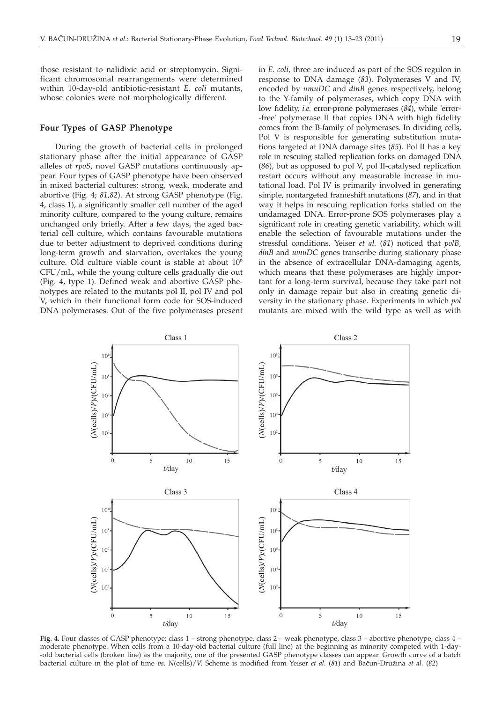those resistant to nalidixic acid or streptomycin. Significant chromosomal rearrangements were determined within 10-day-old antibiotic-resistant *E. coli* mutants, whose colonies were not morphologically different.

# **Four Types of GASP Phenotype**

During the growth of bacterial cells in prolonged stationary phase after the initial appearance of GASP alleles of *rpoS*, novel GASP mutations continuously appear. Four types of GASP phenotype have been observed in mixed bacterial cultures: strong, weak, moderate and abortive (Fig. 4; *81,82*). At strong GASP phenotype (Fig. 4, class 1), a significantly smaller cell number of the aged minority culture, compared to the young culture, remains unchanged only briefly. After a few days, the aged bacterial cell culture, which contains favourable mutations due to better adjustment to deprived conditions during long-term growth and starvation, overtakes the young culture. Old culture viable count is stable at about  $10^6$ CFU/mL, while the young culture cells gradually die out (Fig. 4, type 1). Defined weak and abortive GASP phenotypes are related to the mutants pol II, pol IV and pol V, which in their functional form code for SOS-induced DNA polymerases. Out of the five polymerases present

in *E. coli*, three are induced as part of the SOS regulon in response to DNA damage (*83*). Polymerases V and IV, encoded by *umuDC* and *dinB* genes respectively, belong to the Y-family of polymerases, which copy DNA with low fidelity, *i.e.* error-prone polymerases (*84*), while 'error- -free' polymerase II that copies DNA with high fidelity comes from the B-family of polymerases. In dividing cells, Pol V is responsible for generating substitution mutations targeted at DNA damage sites (*85*). Pol II has a key role in rescuing stalled replication forks on damaged DNA (*86*), but as opposed to pol V, pol II-catalysed replication restart occurs without any measurable increase in mutational load. Pol IV is primarily involved in generating simple, nontargeted frameshift mutations (*87*), and in that way it helps in rescuing replication forks stalled on the undamaged DNA. Error-prone SOS polymerases play a significant role in creating genetic variability, which will enable the selection of favourable mutations under the stressful conditions. Yeiser *et al.* (*81*) noticed that *polB*, *dinB* and *umuDC* genes transcribe during stationary phase in the absence of extracellular DNA-damaging agents, which means that these polymerases are highly important for a long-term survival, because they take part not only in damage repair but also in creating genetic diversity in the stationary phase. Experiments in which *pol* mutants are mixed with the wild type as well as with



**Fig. 4.** Four classes of GASP phenotype: class 1 – strong phenotype, class 2 – weak phenotype, class 3 – abortive phenotype, class 4 – moderate phenotype. When cells from a 10-day-old bacterial culture (full line) at the beginning as minority competed with 1-day- -old bacterial cells (broken line) as the majority, one of the presented GASP phenotype classes can appear. Growth curve of a batch bacterial culture in the plot of time *vs.* N(cells)/*V.* Scheme is modified from Yeiser *et al.* (81) and Bačun-Družina *et al.* (82)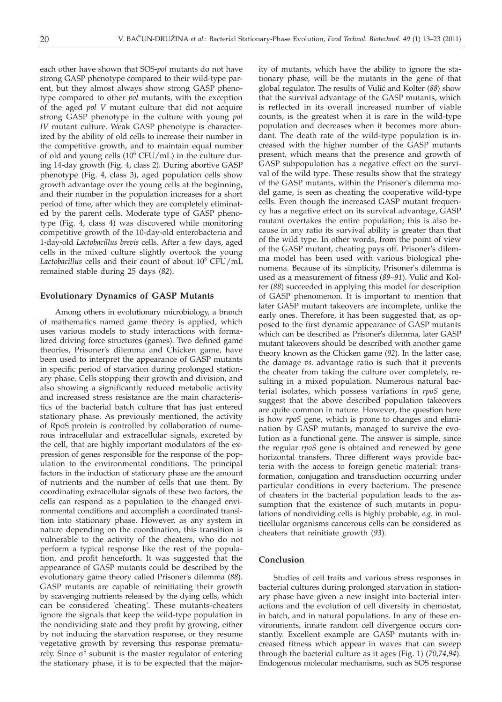each other have shown that SOS-*pol* mutants do not have strong GASP phenotype compared to their wild-type parent, but they almost always show strong GASP phenotype compared to other *pol* mutants, with the exception of the aged *pol V* mutant culture that did not acquire strong GASP phenotype in the culture with young *pol IV* mutant culture. Weak GASP phenotype is characterized by the ability of old cells to increase their number in the competitive growth, and to maintain equal number of old and young cells  $(10^6$  CFU/mL) in the culture during 14-day growth (Fig. 4, class 2). During abortive GASP phenotype (Fig. 4, class 3), aged population cells show growth advantage over the young cells at the beginning, and their number in the population increases for a short period of time, after which they are completely eliminated by the parent cells. Moderate type of GASP phenotype (Fig. 4, class 4) was discovered while monitoring competitive growth of the 10-day-old enterobacteria and 1-day-old *Lactobacillus brevis* cells. After a few days, aged cells in the mixed culture slightly overtook the young Lactobacillus cells and their count of about  $10^8$  CFU/mL remained stable during 25 days (*82*).

## **Evolutionary Dynamics of GASP Mutants**

Among others in evolutionary microbiology, a branch of mathematics named game theory is applied, which uses various models to study interactions with formalized driving force structures (games). Two defined game theories, Prisoner's dilemma and Chicken game, have been used to interpret the appearance of GASP mutants in specific period of starvation during prolonged stationary phase. Cells stopping their growth and division, and also showing a significantly reduced metabolic activity and increased stress resistance are the main characteristics of the bacterial batch culture that has just entered stationary phase. As previously mentioned, the activity of RpoS protein is controlled by collaboration of numerous intracellular and extracellular signals, excreted by the cell, that are highly important modulators of the expression of genes responsible for the response of the population to the environmental conditions. The principal factors in the induction of stationary phase are the amount of nutrients and the number of cells that use them. By coordinating extracellular signals of these two factors, the cells can respond as a population to the changed environmental conditions and accomplish a coordinated transition into stationary phase. However, as any system in nature depending on the coordination, this transition is vulnerable to the activity of the cheaters, who do not perform a typical response like the rest of the population, and profit henceforth. It was suggested that the appearance of GASP mutants could be described by the evolutionary game theory called Prisoner's dilemma (*88*). GASP mutants are capable of reinitiating their growth by scavenging nutrients released by the dying cells, which can be considered 'cheating'. These mutants-cheaters ignore the signals that keep the wild-type population in the nondividing state and they profit by growing, either by not inducing the starvation response, or they resume vegetative growth by reversing this response prematurely. Since  $\sigma^S$  subunit is the master regulator of entering the stationary phase, it is to be expected that the major-

ity of mutants, which have the ability to ignore the stationary phase, will be the mutants in the gene of that global regulator. The results of Vulić and Kolter (88) show that the survival advantage of the GASP mutants, which is reflected in its overall increased number of viable counts, is the greatest when it is rare in the wild-type population and decreases when it becomes more abundant. The death rate of the wild-type population is increased with the higher number of the GASP mutants present, which means that the presence and growth of GASP subpopulation has a negative effect on the survival of the wild type. These results show that the strategy of the GASP mutants, within the Prisoner's dilemma model game, is seen as cheating the cooperative wild-type cells. Even though the increased GASP mutant frequency has a negative effect on its survival advantage, GASP mutant overtakes the entire population; this is also because in any ratio its survival ability is greater than that of the wild type. In other words, from the point of view of the GASP mutant, cheating pays off. Prisoner's dilemma model has been used with various biological phenomena. Because of its simplicity, Prisoner's dilemma is used as a measurement of fitness (89-91). Vulić and Kolter (*88*) succeeded in applying this model for description of GASP phenomenon. It is important to mention that later GASP mutant takeovers are incomplete, unlike the early ones. Therefore, it has been suggested that, as opposed to the first dynamic appearance of GASP mutants which can be described as Prisoner's dilemma, later GASP mutant takeovers should be described with another game theory known as the Chicken game (*92*). In the latter case, the damage *vs*. advantage ratio is such that it prevents the cheater from taking the culture over completely, resulting in a mixed population. Numerous natural bacterial isolates, which possess variations in *rpoS* gene, suggest that the above described population takeovers are quite common in nature. However, the question here is how *rpoS* gene, which is prone to changes and elimination by GASP mutants, managed to survive the evolution as a functional gene. The answer is simple, since the regular *rpoS* gene is obtained and renewed by gene horizontal transfers. Three different ways provide bacteria with the access to foreign genetic material: transformation, conjugation and transduction occurring under particular conditions in every bacterium. The presence of cheaters in the bacterial population leads to the assumption that the existence of such mutants in populations of nondividing cells is highly probable, *e.g.* in multicellular organisms cancerous cells can be considered as cheaters that reinitiate growth (*93*).

# **Conclusion**

Studies of cell traits and various stress responses in bacterial cultures during prolonged starvation in stationary phase have given a new insight into bacterial interactions and the evolution of cell diversity in chemostat, in batch, and in natural populations. In any of these environments, innate random cell divergence occurs constantly. Excellent example are GASP mutants with increased fitness which appear in waves that can sweep through the bacterial culture as it ages (Fig. 1) (*70*,*74*,*94*). Endogenous molecular mechanisms, such as SOS response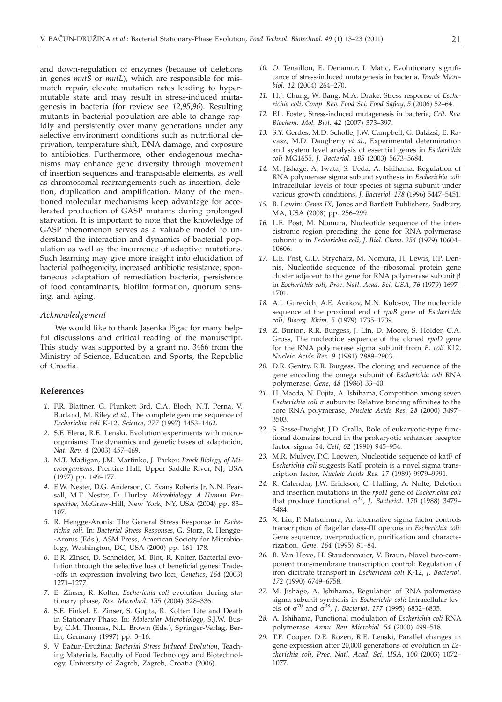and down-regulation of enzymes (because of deletions in genes *mutS* or *mutL*), which are responsible for mismatch repair, elevate mutation rates leading to hypermutable state and may result in stress-induced mutagenesis in bacteria (for review see *12*,*95*,*96*). Resulting mutants in bacterial population are able to change rapidly and persistently over many generations under any selective environment conditions such as nutritional deprivation, temperature shift, DNA damage, and exposure to antibiotics. Furthermore, other endogenous mechanisms may enhance gene diversity through movement of insertion sequences and transposable elements, as well as chromosomal rearrangements such as insertion, deletion, duplication and amplification. Many of the mentioned molecular mechanisms keep advantage for accelerated production of GASP mutants during prolonged starvation. It is important to note that the knowledge of GASP phenomenon serves as a valuable model to understand the interaction and dynamics of bacterial population as well as the incurrence of adaptive mutations. Such learning may give more insight into elucidation of bacterial pathogenicity, increased antibiotic resistance, spontaneous adaptation of remediation bacteria, persistence of food contaminants, biofilm formation, quorum sensing, and aging.

#### *Acknowledgement*

We would like to thank Jasenka Pigac for many helpful discussions and critical reading of the manuscript. This study was supported by a grant no. 3466 from the Ministry of Science, Education and Sports, the Republic of Croatia.

## **References**

- *1.* F.R. Blattner, G. Plunkett 3rd, C.A. Bloch, N.T. Perna, V. Burland, M. Riley *et al*., The complete genome sequence of *Escherichia coli* K-12, *Science*, *277* (1997) 1453–1462.
- *2.* S.F. Elena, R.E. Lenski, Evolution experiments with microorganisms: The dynamics and genetic bases of adaptation, *Nat*. *Rev*. *4* (2003) 457–469.
- *3.* M.T. Madigan, J.M. Martinko, J. Parker: *Brock Biology of Microorganisms*, Prentice Hall, Upper Saddle River, NJ, USA (1997) pp. 149–177.
- *4.* E.W. Nester, D.G. Anderson, C. Evans Roberts Jr, N.N. Pearsall, M.T. Nester, D. Hurley: *Microbiology*: *A Human Perspective*, McGraw-Hill, New York, NY, USA (2004) pp. 83– 107.
- *5.* R. Hengge-Aronis: The General Stress Response in *Escherichia coli*. In: *Bacterial Stress Responses*, G. Storz, R. Hengge- -Aronis (Eds.), ASM Press, American Society for Microbiology, Washington, DC, USA (2000) pp. 161–178.
- *6.* E.R. Zinser, D. Schneider, M. Blot, R. Kolter, Bacterial evolution through the selective loss of beneficial genes: Trade- -offs in expression involving two loci, *Genetics*, *164* (2003) 1271–1277.
- *7.* E. Zinser, R. Kolter, *Escherichia coli* evolution during stationary phase, *Res*. *Microbiol*. *155* (2004) 328–336.
- *8.* S.E. Finkel, E. Zinser, S. Gupta, R. Kolter: Life and Death in Stationary Phase. In: *Molecular Microbiology*, S.J.W. Busby, C.M. Thomas, N.L. Brown (Eds.), Springer-Verlag, Berlin, Germany (1997) pp. 3–16.
- 9. V. Bačun-Družina: *Bacterial Stress Induced Evolution*, Teaching Materials, Faculty of Food Technology and Biotechnology, University of Zagreb, Zagreb, Croatia (2006).
- *10.* O. Tenaillon, E. Denamur, I. Matic, Evolutionary significance of stress-induced mutagenesis in bacteria, *Trends Microbiol*. *12* (2004) 264–270.
- *11.* H.J. Chung, W. Bang, M.A. Drake, Stress response of *Escherichia coli, Comp. Rev. Food Sci. Food Safety, 5* (2006) 52–64.
- *12.* P.L. Foster, Stress-induced mutagenesis in bacteria, *Crit. Rev. Biochem. Mol. Biol. 42* (2007) 373–397.
- *13.* S.Y. Gerdes, M.D. Scholle, J.W. Campbell, G. Balázsi, E. Ravasz, M.D. Daugherty *et al.*, Experimental determination and system level analysis of essential genes in *Escherichia coli* MG1655, *J*. *Bacteriol*. *185* (2003) 5673–5684.
- *14.* M. Jishage, A. Iwata, S. Ueda, A. Ishihama, Regulation of RNA polymerase sigma subunit synthesis in *Escherichia coli*: Intracellular levels of four species of sigma subunit under various growth conditions, *J*. *Bacteriol*. *178* (1996) 5447–5451.
- *15.* B. Lewin: *Genes IX*, Jones and Bartlett Publishers, Sudbury, MA, USA (2008) pp. 256–299.
- *16.* L.E. Post, M. Nomura, Nucleotide sequence of the intercistronic region preceding the gene for RNA polymerase subunit a in *Escherichia coli*, *<sup>J</sup>*. *Biol*. *Chem*. *<sup>254</sup>* (1979) 10604– 10606.
- *17.* L.E. Post, G.D. Strycharz, M. Nomura, H. Lewis, P.P. Dennis, Nucleotide sequence of the ribosomal protein gene cluster adjacent to the gene for RNA polymerase subunit  $\beta$ in *Escherichia coli*, *Proc*. *Natl*. *Acad*. *Sci*. *USA*, *76* (1979) 1697– 1701.
- *18.* A.I. Gurevich, A.E. Avakov, M.N. Kolosov, The nucleotide sequence at the proximal end of *rpoB* gene of *Escherichia coli*, *Bioorg*. *Khim*. *5* (1979) 1735–1739.
- *19.* Z. Burton, R.R. Burgess, J. Lin, D. Moore, S. Holder, C.A. Gross, The nucleotide sequence of the cloned *rpoD* gene for the RNA polymerase sigma subunit from *E*. *coli* K12, *Nucleic Acids Res*. *9* (1981) 2889–2903.
- *20.* D.R. Gentry, R.R. Burgess, The cloning and sequence of the gene encoding the omega subunit of *Escherichia coli* RNA polymerase, *Gene*, *48* (1986) 33–40.
- *21.* H. Maeda, N. Fujita, A. Ishihama, Competition among seven  $Escherichia coli \sigma subunits: Relative binding affinities to the$ core RNA polymerase, *Nucleic Acids Res*. *28* (2000) 3497– 3503.
- *22.* S. Sasse-Dwight, J.D. Gralla, Role of eukaryotic-type functional domains found in the prokaryotic enhancer receptor factor sigma 54, *Cell*, *62* (1990) 945–954.
- *23.* M.R. Mulvey, P.C. Loewen, Nucleotide sequence of katF of *Escherichia coli* suggests KatF protein is a novel sigma transcription factor, *Nucleic Acids Res*. *17* (1989) 9979–9991.
- *24.* R. Calendar, J.W. Erickson, C. Halling, A. Nolte, Deletion and insertion mutations in the *rpoH* gene of *Escherichia coli* that produce functional  $\sigma^{32}$ , *J. Bacteriol.* 170 (1988) 3479– 3484.
- *25.* X. Liu, P. Matsumura, An alternative sigma factor controls transcription of flagellar class-III operons in *Escherichia coli*: Gene sequence, overproduction, purification and characterization, *Gene*, *164* (1995) 81–84.
- *26.* B. Van Hove, H. Staudenmaier, V. Braun, Novel two-component transmembrane transcription control: Regulation of iron dicitrate transport in *Escherichia coli* K-12, *J*. *Bacteriol*. *172* (1990) 6749–6758.
- *27.* M. Jishage, A. Ishihama, Regulation of RNA polymerase sigma subunit synthesis in *Escherichia coli*: Intracellular levels of  $\sigma^{70}$  and  $\sigma^{38}$ , *J. Bacteriol.* 177 (1995) 6832–6835.
- *28.* A. Ishihama, Functional modulation of *Escherichia coli* RNA polymerase, *Annu*. *Rev*. *Microbiol*. *54* (2000) 499–518.
- *29.* T.F. Cooper, D.E. Rozen, R.E. Lenski, Parallel changes in gene expression after 20,000 generations of evolution in *Escherichia coli*, *Proc*. *Natl*. *Acad*. *Sci*. *USA*, *100* (2003) 1072– 1077.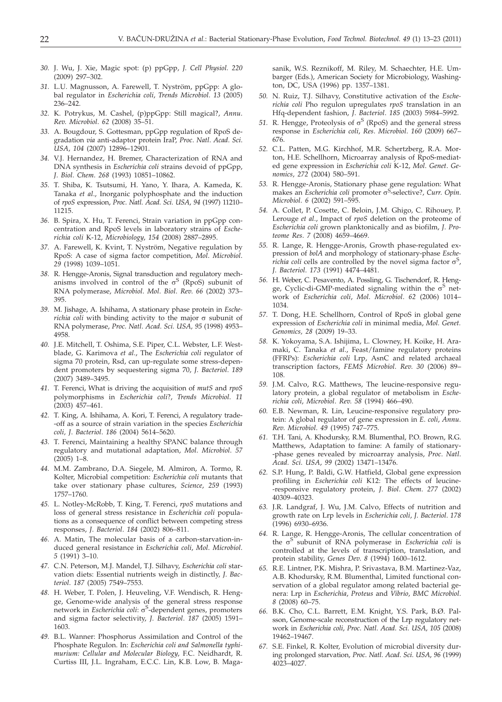- *30.* J. Wu, J. Xie, Magic spot: (p) ppGpp, *J. Cell Physiol. 220* (2009) 297–302.
- *31.* L.U. Magnusson, A. Farewell, T. Nyström, ppGpp: A global regulator in *Escherichia coli*, *Trends Microbiol*. *13* (2005) 236–242.
- *32.* K. Potrykus, M. Cashel, (p)ppGpp: Still magical?, *Annu*. *Rev*. *Microbiol*. *62* (2008) 35–51.
- *33.* A. Bougdour, S. Gottesman, ppGpp regulation of RpoS degradation *via* anti-adaptor protein IraP, *Proc*. *Natl*. *Acad*. *Sci*. *USA*, *104* (2007) 12896–12901.
- *34.* V.J. Hernandez, H. Bremer, Characterization of RNA and DNA synthesis in *Escherichia coli* strains devoid of ppGpp, *J*. *Biol*. *Chem*. *268* (1993) 10851–10862.
- *35.* T. Shiba, K. Tsutsumi, H. Yano, Y. Ihara, A. Kameda, K. Tanaka *et al*., Inorganic polyphosphate and the induction of *rpoS* expression, *Proc*. *Natl*. *Acad*. *Sci*. *USA*, *94* (1997) 11210– 11215.
- *36.* B. Spira, X. Hu, T. Ferenci, Strain variation in ppGpp concentration and RpoS levels in laboratory strains of *Escherichia coli* K-12, *Microbiology*, *154* (2008) 2887–2895.
- *37.* A. Farewell, K. Kvint, T. Nyström, Negative regulation by RpoS: A case of sigma factor competition, *Mol*. *Microbiol*. *29* (1998) 1039–1051.
- *38.* R. Hengge-Aronis, Signal transduction and regulatory mechanisms involved in control of the  $\sigma^S$  (RpoS) subunit of RNA polymerase, *Microbiol*. *Mol*. *Biol*. *Rev*. *66* (2002) 373– 395.
- *39.* M. Jishage, A. Ishihama, A stationary phase protein in *Escherichia coli* with binding activity to the major  $\sigma$  subunit of RNA polymerase, *Proc*. *Natl*. *Acad*. *Sci*. *USA, 95* (1998) 4953– 4958.
- *40.* J.E. Mitchell, T. Oshima, S.E. Piper, C.L. Webster, L.F. Westblade, G. Karimova *et al*., The *Escherichia coli* regulator of sigma 70 protein, Rsd, can up-regulate some stress-dependent promoters by sequestering sigma 70, *J*. *Bacteriol*. *189* (2007) 3489–3495.
- *41.* T. Ferenci, What is driving the acquisition of *mutS* and *rpoS* polymorphisms in *Escherichia coli*?, *Trends Microbiol*. *11* (2003) 457–461.
- *42.* T. King, A. Ishihama, A. Kori, T. Ferenci, A regulatory trade- -off as a source of strain variation in the species *Escherichia coli, J*. *Bacteriol*. *186* (2004) 5614–5620.
- *43.* T. Ferenci, Maintaining a healthy SPANC balance through regulatory and mutational adaptation, *Mol*. *Microbiol*. *57* (2005) 1–8.
- *44.* M.M. Zambrano, D.A. Siegele, M. Almiron, A. Tormo, R. Kolter, Microbial competition: *Escherichia coli* mutants that take over stationary phase cultures, *Science*, *259* (1993) 1757–1760.
- *45.* L. Notley-McRobb, T. King, T. Ferenci, *rpoS* mutations and loss of general stress resistance in *Escherichia coli* populations as a consequence of conflict between competing stress responses, *J*. *Bacteriol*. *184* (2002) 806–811.
- *46.* A. Matin, The molecular basis of a carbon-starvation-induced general resistance in *Escherichia coli*, *Mol*. *Microbiol*. *5* (1991) 3–10.
- *47.* C.N. Peterson, M.J. Mandel, T.J. Silhavy, *Escherichia coli* starvation diets: Essential nutrients weigh in distinctly, *J*. *Bacteriol*. *187* (2005) 7549–7553.
- *48.* H. Weber, T. Polen, J. Heuveling, V.F. Wendisch, R. Hengge, Genome-wide analysis of the general stress response network in *Escherichia coli*:  $\sigma^S$ -dependent genes, promoters<br>and sigma factor selectivity *L. Becteriol*, 187 (2005) 1591and sigma factor selectivity, *J*. *Bacteriol*. *187* (2005) 1591– 1603.
- *49.* B.L. Wanner: Phosphorus Assimilation and Control of the Phosphate Regulon. In: *Escherichia coli and Salmonella typhimurium: Cellular and Molecular Biology*, F.C. Neidhardt, R. Curtiss III, J.L. Ingraham, E.C.C. Lin, K.B. Low, B. Maga-

sanik, W.S. Reznikoff, M. Riley, M. Schaechter, H.E. Umbarger (Eds.), American Society for Microbiology, Washington, DC, USA (1996) pp. 1357–1381.

- *50.* N. Ruiz, T.J. Silhavy, Constitutive activation of the *Escherichia coli* Pho regulon upregulates *rpoS* translation in an Hfq-dependent fashion, *J*. *Bacteriol*. *185* (2003) 5984–5992.
- 51. R. Hengge, Proteolysis of  $\sigma^S$  (RpoS) and the general stress response in *Escherichia coli*, *Res*. *Microbiol*. *160* (2009) 667– 676.
- *52.* C.L. Patten, M.G. Kirchhof, M.R. Schertzberg, R.A. Morton, H.E. Schellhorn, Microarray analysis of RpoS-mediated gene expression in *Escherichia coli* K-12, *Mol*. *Genet*. *Genomics*, *272* (2004) 580–591.
- *53.* R. Hengge-Aronis, Stationary phase gene regulation: What makes an *Escherichia coli* promoter σ<sup>S</sup>-selective?, *Curr*. *Opin*. *Microbiol*. *6* (2002) 591–595.
- *54.* A. Collet, P. Cosette, C. Beloin, J.M. Ghigo, C. Rihouey, P. Lerouge *et al*., Impact of *rpoS* deletion on the proteome of *Escherichia coli* grown planktonically and as biofilm, *J*. *Proteome Res*. *7* (2008) 4659–4669.
- *55.* R. Lange, R. Hengge-Aronis, Growth phase-regulated expression of *bolA* and morphology of stationary-phase *Escherichia coli* cells are controlled by the novel sigma factor  $\sigma^S$ ,<br>*I. Bacterial 173 (1991) 4474–4481 J*. *Bacteriol*. *173* (1991) 4474–4481.
- *56.* H. Weber, C. Pesavento, A. Possling, G. Tischendorf, R. Hengge, Cyclic-di-GMP-mediated signaling within the  $\sigma^S$  network of *Escherichia coli*, *Mol*. *Microbiol*. *62* (2006) 1014– 1034.
- *57.* T. Dong, H.E. Schellhorn, Control of RpoS in global gene expression of *Escherichia coli* in minimal media, *Mol. Genet. Genomics, 28* (2009) 19–33.
- *58.* K. Yokoyama, S.A. Ishijima, L. Clowney, H. Koike, H. Aramaki, C. Tanaka *et al*., Feast/famine regulatory proteins (FFRPs): *Escherichia coli* Lrp, AsnC and related archaeal transcription factors, *FEMS Microbiol*. *Rev*. *30* (2006) 89– 108.
- *59.* J.M. Calvo, R.G. Matthews, The leucine-responsive regulatory protein, a global regulator of metabolism in *Escherichia coli*, *Microbiol*. *Rev*. *58* (1994) 466–490.
- *60.* E.B. Newman, R. Lin, Leucine-responsive regulatory protein: A global regulator of gene expression in *E*. *coli*, *Annu*. *Rev*. *Microbiol*. *49* (1995) 747–775.
- *61.* T.H. Tani, A. Khodursky, R.M. Blumenthal, P.O. Brown, R.G. Matthews, Adaptation to famine: A family of stationary- -phase genes revealed by microarray analysis, *Proc*. *Natl*. *Acad*. *Sci*. *USA*, *99* (2002) 13471–13476.
- *62.* S.P. Hung, P. Baldi, G.W. Hatfield, Global gene expression profiling in *Escherichia coli* K12: The effects of leucine- -responsive regulatory protein, *J*. *Biol*. *Chem*. *277* (2002) 40309–40323.
- *63.* J.R. Landgraf, J. Wu, J.M. Calvo, Effects of nutrition and growth rate on Lrp levels in *Escherichia coli*, *J*. *Bacteriol*. *178* (1996) 6930–6936.
- *64.* R. Lange, R. Hengge-Aronis, The cellular concentration of the  $\sigma$ <sup>S</sup> subunit of RNA polymerase in *Escherichia coli* is controlled at the levels of transcription, translation, and protein stability, *Genes Dev*. *8* (1994) 1600–1612.
- *65.* R.E. Lintner, P.K. Mishra, P. Srivastava, B.M. Martinez-Vaz, A.B. Khodursky, R.M. Blumenthal, Limited functional conservation of a global regulator among related bacterial genera: Lrp in *Escherichia*, *Proteus* and *Vibrio*, *BMC Microbiol*. *8* (2008) 60–75.
- *66.* B.K. Cho, C.L. Barrett, E.M. Knight, Y.S. Park, B.Ø. Palsson, Genome-scale reconstruction of the Lrp regulatory network in *Escherichia coli*, *Proc*. *Natl*. *Acad*. *Sci*. *USA*, *105* (2008) 19462–19467.
- *67.* S.E. Finkel, R. Kolter, Evolution of microbial diversity during prolonged starvation, *Proc*. *Natl*. *Acad*. *Sci*. *USA*, *96* (1999) 4023–4027.